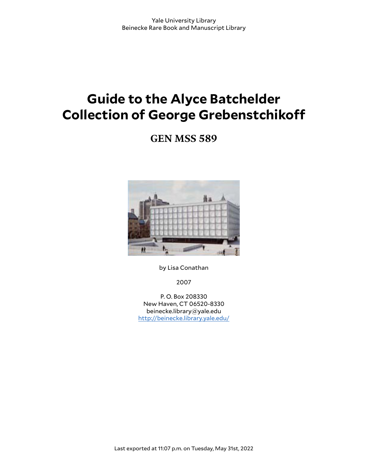# **Guide to the Alyce Batchelder Collection of George Grebenstchiko**

**GEN MSS 589**



by Lisa Conathan

2007

P. O. Box 208330 New Haven, CT 06520-8330 beinecke.library@yale.edu <http://beinecke.library.yale.edu/>

Last exported at 11:07 p.m. on Tuesday, May 31st, 2022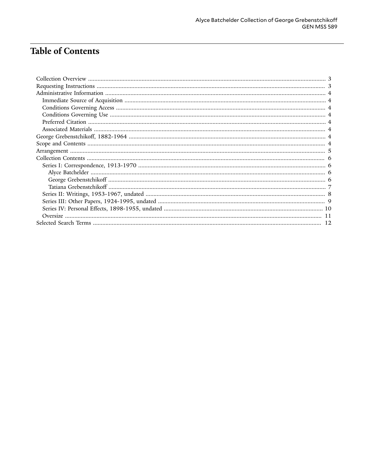# **Table of Contents**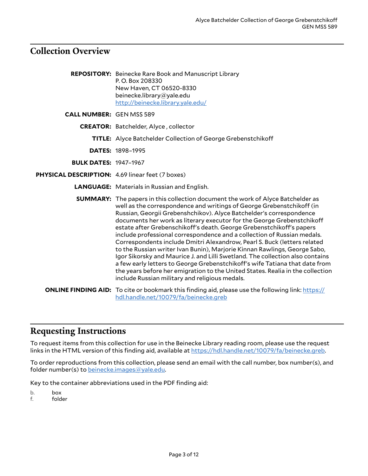# <span id="page-2-0"></span>**Collection Overview**

|                                                  | <b>REPOSITORY:</b> Beinecke Rare Book and Manuscript Library<br>P.O. Box 208330<br>New Haven, CT 06520-8330<br>beinecke.library@yale.edu<br>http://beinecke.library.yale.edu/                                                                                                                                                                                                                                                                                                                                                                                                                                                                                                                                                                                                                                                                                                                                                    |
|--------------------------------------------------|----------------------------------------------------------------------------------------------------------------------------------------------------------------------------------------------------------------------------------------------------------------------------------------------------------------------------------------------------------------------------------------------------------------------------------------------------------------------------------------------------------------------------------------------------------------------------------------------------------------------------------------------------------------------------------------------------------------------------------------------------------------------------------------------------------------------------------------------------------------------------------------------------------------------------------|
| <b>CALL NUMBER: GEN MSS 589</b>                  |                                                                                                                                                                                                                                                                                                                                                                                                                                                                                                                                                                                                                                                                                                                                                                                                                                                                                                                                  |
|                                                  | <b>CREATOR:</b> Batchelder, Alyce, collector                                                                                                                                                                                                                                                                                                                                                                                                                                                                                                                                                                                                                                                                                                                                                                                                                                                                                     |
|                                                  | <b>TITLE:</b> Alyce Batchelder Collection of George Grebenstchikoff                                                                                                                                                                                                                                                                                                                                                                                                                                                                                                                                                                                                                                                                                                                                                                                                                                                              |
|                                                  | <b>DATES: 1898-1995</b>                                                                                                                                                                                                                                                                                                                                                                                                                                                                                                                                                                                                                                                                                                                                                                                                                                                                                                          |
| <b>BULK DATES: 1947-1967</b>                     |                                                                                                                                                                                                                                                                                                                                                                                                                                                                                                                                                                                                                                                                                                                                                                                                                                                                                                                                  |
| PHYSICAL DESCRIPTION: 4.69 linear feet (7 boxes) |                                                                                                                                                                                                                                                                                                                                                                                                                                                                                                                                                                                                                                                                                                                                                                                                                                                                                                                                  |
|                                                  | <b>LANGUAGE:</b> Materials in Russian and English.                                                                                                                                                                                                                                                                                                                                                                                                                                                                                                                                                                                                                                                                                                                                                                                                                                                                               |
|                                                  | <b>SUMMARY:</b> The papers in this collection document the work of Alyce Batchelder as<br>well as the correspondence and writings of George Grebenstchikoff (in<br>Russian, Georgii Grebenshchikov). Alyce Batchelder's correspondence<br>documents her work as literary executor for the George Grebenstchikoff<br>estate after Grebenschikoff's death. George Grebenstchikoff's papers<br>include professional correspondence and a collection of Russian medals.<br>Correspondents include Dmitri Alexandrow, Pearl S. Buck (letters related<br>to the Russian writer Ivan Bunin), Marjorie Kinnan Rawlings, George Sabo,<br>Igor Sikorsky and Maurice J. and Lilli Swetland. The collection also contains<br>a few early letters to George Grebenstchikoff's wife Tatiana that date from<br>the years before her emigration to the United States. Realia in the collection<br>include Russian military and religious medals. |
|                                                  | <b>ONLINE FINDING AID:</b> To cite or bookmark this finding aid, please use the following link: https://<br>hdl.handle.net/10079/fa/beinecke.greb                                                                                                                                                                                                                                                                                                                                                                                                                                                                                                                                                                                                                                                                                                                                                                                |

# <span id="page-2-1"></span>**Requesting Instructions**

To request items from this collection for use in the Beinecke Library reading room, please use the request links in the HTML version of this finding aid, available at [https://hdl.handle.net/10079/fa/beinecke.greb.](https://hdl.handle.net/10079/fa/beinecke.greb)

To order reproductions from this collection, please send an email with the call number, box number(s), and folder number(s) to [beinecke.images@yale.edu.](mailto:beinecke.images@yale.edu)

Key to the container abbreviations used in the PDF finding aid:

b. box

f. folder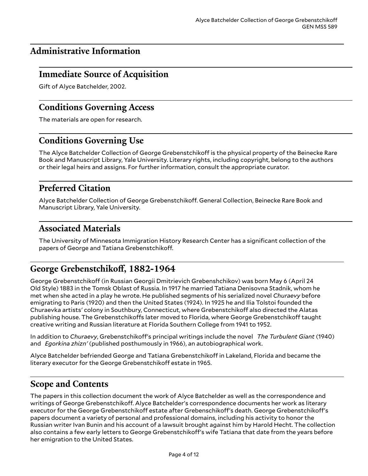# <span id="page-3-0"></span>**Administrative Information**

### <span id="page-3-1"></span>**Immediate Source of Acquisition**

Gift of Alyce Batchelder, 2002.

### <span id="page-3-2"></span>**Conditions Governing Access**

The materials are open for research.

# <span id="page-3-3"></span>**Conditions Governing Use**

The Alyce Batchelder Collection of George Grebenstchikoff is the physical property of the Beinecke Rare Book and Manuscript Library, Yale University. Literary rights, including copyright, belong to the authors or their legal heirs and assigns. For further information, consult the appropriate curator.

# <span id="page-3-4"></span>**Preferred Citation**

Alyce Batchelder Collection of George Grebenstchikoff. General Collection, Beinecke Rare Book and Manuscript Library, Yale University.

### <span id="page-3-5"></span>**Associated Materials**

The University of Minnesota Immigration History Research Center has a significant collection of the papers of George and Tatiana Grebenstchikoff.

# <span id="page-3-6"></span>George Grebenstchikoff, 1882-1964

George Grebenstchikoff (in Russian Georgii Dmitrievich Grebenshchikov) was born May 6 (April 24 Old Style) 1883 in the Tomsk Oblast of Russia. In 1917 he married Tatiana Denisovna Stadnik, whom he met when she acted in a play he wrote. He published segments of his serialized novel *Churaevy* before emigrating to Paris (1920) and then the United States (1924). In 1925 he and Ilia Tolstoi founded the Churaevka artists' colony in Southbury, Connecticut, where Grebenstchikoff also directed the Alatas publishing house. The Grebenstchikoffs later moved to Florida, where George Grebenstchikoff taught creative writing and Russian literature at Florida Southern College from 1941 to 1952.

In addition to *Churaevy*, Grebenstchiko5's principal writings include the novel *The Turbulent Giant* (1940) and *Egorkina zhizn'* (published posthumously in 1966), an autobiographical work.

Alyce Batchelder befriended George and Tatiana Grebenstchikoff in Lakeland, Florida and became the literary executor for the George Grebenstchikoff estate in 1965.

### <span id="page-3-7"></span>**Scope and Contents**

The papers in this collection document the work of Alyce Batchelder as well as the correspondence and writings of George Grebenstchikoff. Alyce Batchelder's correspondence documents her work as literary executor for the George Grebenstchikoff estate after Grebenschikoff's death. George Grebenstchikoff's papers document a variety of personal and professional domains, including his activity to honor the Russian writer Ivan Bunin and his account of a lawsuit brought against him by Harold Hecht. The collection also contains a few early letters to George Grebenstchikoff's wife Tatiana that date from the years before her emigration to the United States.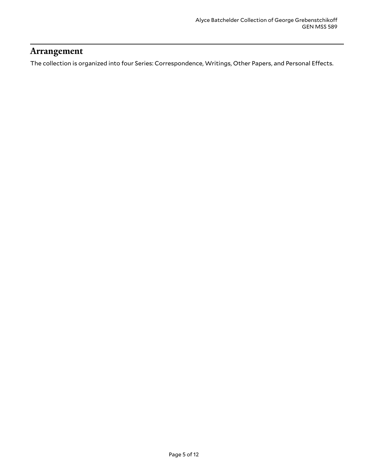### <span id="page-4-0"></span>**Arrangement**

The collection is organized into four Series: Correspondence, Writings, Other Papers, and Personal Effects.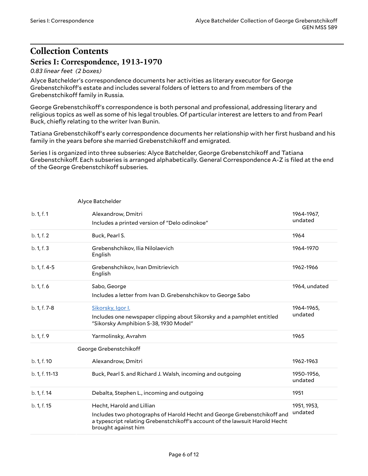# <span id="page-5-0"></span>**Collection Contents Series I: Correspondence, 1913-1970**

<span id="page-5-3"></span><span id="page-5-2"></span>Alyce Batchelder

#### <span id="page-5-1"></span>*0.83 linear feet (2 boxes)*

Alyce Batchelder's correspondence documents her activities as literary executor for George Grebenstchiko5's estate and includes several folders of letters to and from members of the Grebenstchikoff family in Russia.

George Grebenstchikoff's correspondence is both personal and professional, addressing literary and religious topics as well as some of his legal troubles. Of particular interest are letters to and from Pearl Buck, chiefly relating to the writer Ivan Bunin.

Tatiana Grebenstchikoff's early correspondence documents her relationship with her first husband and his family in the years before she married Grebenstchikoff and emigrated.

Series I is organized into three subseries: Alyce Batchelder, George Grebenstchikoff and Tatiana Grebenstchikoff. Each subseries is arranged alphabetically. General Correspondence A-Z is filed at the end of the George Grebenstchikoff subseries.

| b. 1, f. 1             | Alexandrow, Dmitri<br>Includes a printed version of "Delo odinokoe"                                                                                                                                        | 1964-1967,<br>undated  |
|------------------------|------------------------------------------------------------------------------------------------------------------------------------------------------------------------------------------------------------|------------------------|
| b. 1, f. 2             | Buck, Pearl S.                                                                                                                                                                                             | 1964                   |
| b. 1, f. 3             | Grebenshchikov, Ilia Nilolaevich<br>English                                                                                                                                                                | 1964-1970              |
| b. 1, f. 4-5           | Grebenshchikov, Ivan Dmitrievich<br>English                                                                                                                                                                | 1962-1966              |
| b. 1, f. 6             | Sabo, George<br>Includes a letter from Ivan D. Grebenshchikov to George Sabo                                                                                                                               | 1964, undated          |
| b. 1, f. 7-8           | Sikorsky, Igor I.<br>Includes one newspaper clipping about Sikorsky and a pamphlet entitled<br>"Sikorsky Amphibion S-38, 1930 Model"                                                                       | 1964-1965,<br>undated  |
| b. 1, f. 9             | Yarmolinsky, Avrahm                                                                                                                                                                                        | 1965                   |
| George Grebenstchikoff |                                                                                                                                                                                                            |                        |
| b. 1, f. 10            | Alexandrow, Dmitri                                                                                                                                                                                         | 1962-1963              |
| b. 1, f. 11-13         | Buck, Pearl S. and Richard J. Walsh, incoming and outgoing                                                                                                                                                 | 1950-1956,<br>undated  |
| b. 1, f. 14            | Debalta, Stephen L., incoming and outgoing                                                                                                                                                                 | 1951                   |
| b. 1, f. 15            | Hecht, Harold and Lillian<br>Includes two photographs of Harold Hecht and George Grebenstchikoff and<br>a typescript relating Grebenstchikoff's account of the lawsuit Harold Hecht<br>brought against him | 1951, 1953,<br>undated |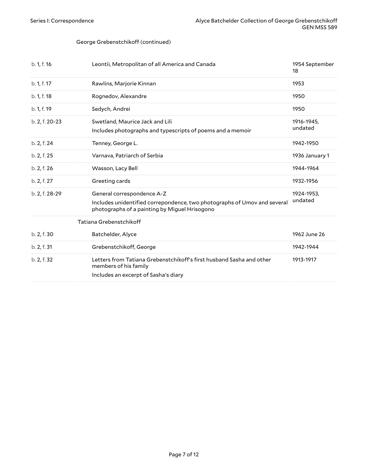#### George Grebenstchikoff (continued)

<span id="page-6-0"></span>

| b. 1, f. 16    | Leontii, Metropolitan of all America and Canada                                                                                                         | 1954 September<br>18  |
|----------------|---------------------------------------------------------------------------------------------------------------------------------------------------------|-----------------------|
| b. 1, f. 17    | Rawlins, Marjorie Kinnan                                                                                                                                | 1953                  |
| b. 1, f. 18    | Rognedov, Alexandre                                                                                                                                     | 1950                  |
| b. 1, f. 19    | Sedych, Andrei                                                                                                                                          | 1950                  |
| b. 2, f. 20-23 | Swetland, Maurice Jack and Lili<br>Includes photographs and typescripts of poems and a memoir                                                           | 1916-1945,<br>undated |
| b. 2, f. 24    | Tenney, George L.                                                                                                                                       | 1942-1950             |
| b. 2, f. 25    | Varnava, Patriarch of Serbia                                                                                                                            | 1936 January 1        |
| b. 2, f. 26    | Wasson, Lacy Bell                                                                                                                                       | 1944-1964             |
| b. 2, f. 27    | Greeting cards                                                                                                                                          | 1932-1956             |
| b. 2, f. 28-29 | General correspondence A-Z<br>Includes unidentified correpondence, two photographs of Umov and several<br>photographs of a painting by Miguel Hrisogono | 1924-1953,<br>undated |
|                | Tatiana Grebenstchikoff                                                                                                                                 |                       |
| b. 2, f. 30    | Batchelder, Alyce                                                                                                                                       | 1962 June 26          |
| b. 2, f. 31    | Grebenstchikoff, George                                                                                                                                 | 1942-1944             |
| b. 2, f. 32    | Letters from Tatiana Grebenstchikoff's first husband Sasha and other<br>members of his family<br>Includes an excerpt of Sasha's diary                   | 1913-1917             |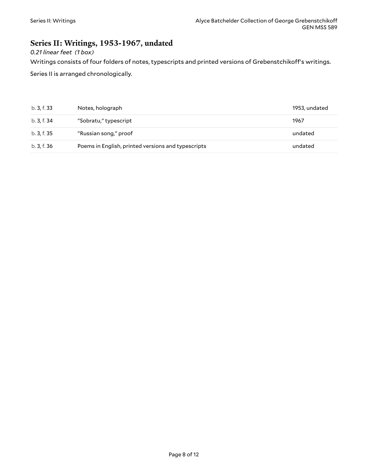# <span id="page-7-0"></span>**Series II: Writings, 1953-1967, undated**

*0.21 linear feet (1 box)*

Writings consists of four folders of notes, typescripts and printed versions of Grebenstchikoff's writings.

Series II is arranged chronologically.

| b. 3, f. 33 | Notes, holograph                                   | 1953, undated |
|-------------|----------------------------------------------------|---------------|
| b. 3, f. 34 | "Sobratu," typescript                              | 1967          |
| b. 3, f. 35 | "Russian song," proof                              | undated       |
| b. 3, f. 36 | Poems in English, printed versions and typescripts | undated       |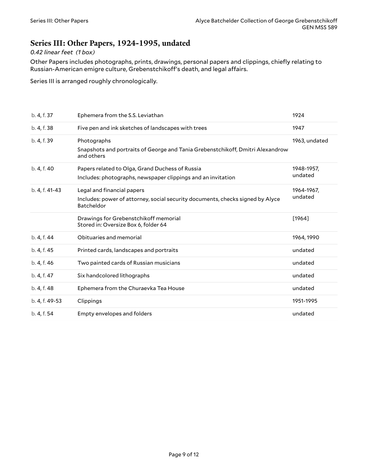### <span id="page-8-0"></span>**Series III: Other Papers, 1924-1995, undated**

#### *0.42 linear feet (1 box)*

Other Papers includes photographs, prints, drawings, personal papers and clippings, chiefly relating to Russian-American emigre culture, Grebenstchikoff's death, and legal affairs.

Series III is arranged roughly chronologically.

| b. 4, f. 37    | Ephemera from the S.S. Leviathan                                                                                           | 1924                  |
|----------------|----------------------------------------------------------------------------------------------------------------------------|-----------------------|
| b. 4, f. 38    | Five pen and ink sketches of landscapes with trees                                                                         | 1947                  |
| b. 4, f. 39    | Photographs<br>Snapshots and portraits of George and Tania Grebenstchikoff, Dmitri Alexandrow<br>and others                | 1963, undated         |
| b. 4, f. 40    | Papers related to Olga, Grand Duchess of Russia<br>Includes: photographs, newspaper clippings and an invitation            | 1948-1957,<br>undated |
| b. 4, f. 41-43 | Legal and financial papers<br>Includes: power of attorney, social security documents, checks signed by Alyce<br>Batcheldor | 1964-1967,<br>undated |
|                | Drawings for Grebenstchikoff memorial<br>Stored in: Oversize Box 6, folder 64                                              | [1964]                |
| b. 4, f. 44    | Obituaries and memorial                                                                                                    | 1964, 1990            |
| b. 4, f. 45    | Printed cards, landscapes and portraits                                                                                    | undated               |
| b. 4, f. 46    | Two painted cards of Russian musicians                                                                                     | undated               |
| b. 4, f. 47    | Six handcolored lithographs                                                                                                | undated               |
| b. 4, f. 48    | Ephemera from the Churaevka Tea House                                                                                      | undated               |
| b. 4, f. 49-53 | Clippings                                                                                                                  | 1951-1995             |
| b. 4, f. 54    | Empty envelopes and folders                                                                                                | undated               |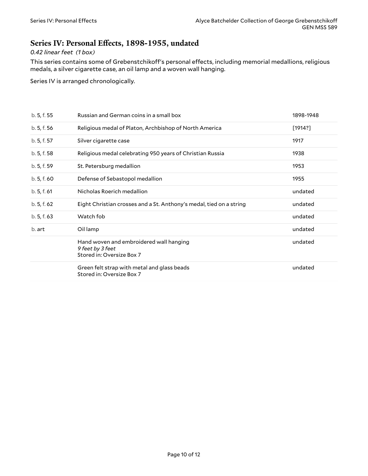### <span id="page-9-0"></span>**Series IV: Personal E(ects, 1898-1955, undated**

#### *0.42 linear feet (1 box)*

This series contains some of Grebenstchikoff's personal effects, including memorial medallions, religious medals, a silver cigarette case, an oil lamp and a woven wall hanging.

Series IV is arranged chronologically.

| b. 5, f. 55 | Russian and German coins in a small box                                                  | 1898-1948 |
|-------------|------------------------------------------------------------------------------------------|-----------|
| b. 5, f. 56 | Religious medal of Platon, Archbishop of North America                                   | [1914?]   |
| b. 5, f. 57 | Silver cigarette case                                                                    | 1917      |
| b. 5, f. 58 | Religious medal celebrating 950 years of Christian Russia                                | 1938      |
| b. 5, f. 59 | St. Petersburg medallion                                                                 | 1953      |
| b.5, f.60   | Defense of Sebastopol medallion                                                          | 1955      |
| b.5, f.61   | Nicholas Roerich medallion                                                               | undated   |
| b.5, f.62   | Eight Christian crosses and a St. Anthony's medal, tied on a string                      | undated   |
| b. 5, f. 63 | Watch fob                                                                                | undated   |
| b. art      | Oil lamp                                                                                 | undated   |
|             | Hand woven and embroidered wall hanging<br>9 feet by 3 feet<br>Stored in: Oversize Box 7 | undated   |
|             | Green felt strap with metal and glass beads<br>Stored in: Oversize Box 7                 | undated   |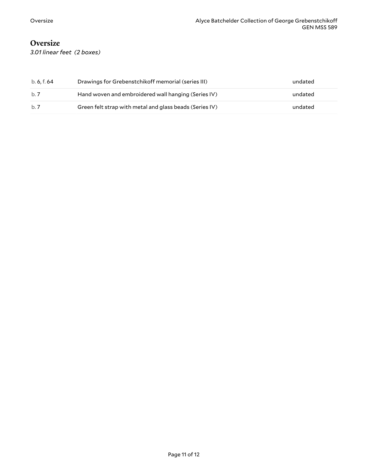### <span id="page-10-0"></span>**Oversize**

*3.01 linear feet (2 boxes)*

| b. 6. f. 64 | Drawings for Grebenstchikoff memorial (series III)      | undated |
|-------------|---------------------------------------------------------|---------|
| b. 7        | Hand woven and embroidered wall hanging (Series IV)     | undated |
| b. 7        | Green felt strap with metal and glass beads (Series IV) | undated |